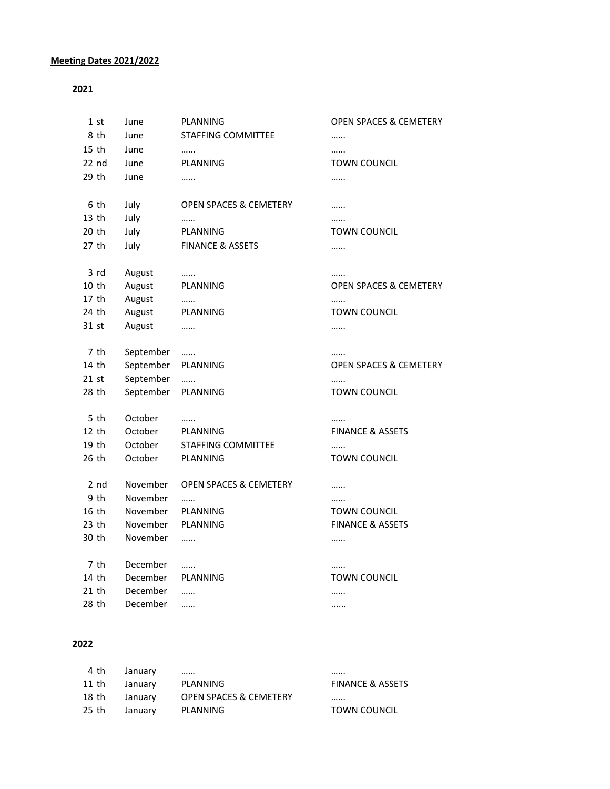| 1 st             | June      | <b>PLANNING</b>                   | <b>OPEN SPACES &amp; CEMETERY</b> |
|------------------|-----------|-----------------------------------|-----------------------------------|
| 8 th             | June      | <b>STAFFING COMMITTEE</b>         |                                   |
| 15 <sub>th</sub> | June      |                                   |                                   |
| 22 nd            | June      | PLANNING                          | <b>TOWN COUNCIL</b>               |
| 29 th            | June      |                                   |                                   |
|                  |           |                                   |                                   |
| 6 th             | July      | <b>OPEN SPACES &amp; CEMETERY</b> |                                   |
| 13 <sub>th</sub> | July      |                                   |                                   |
| 20 th            | July      | PLANNING                          | <b>TOWN COUNCIL</b>               |
| 27 th            | July      | <b>FINANCE &amp; ASSETS</b>       |                                   |
|                  |           |                                   |                                   |
| 3 rd             | August    |                                   |                                   |
| $10$ th          | August    | PLANNING                          | <b>OPEN SPACES &amp; CEMETERY</b> |
| 17 th            | August    |                                   |                                   |
| 24 th            | August    | <b>PLANNING</b>                   | <b>TOWN COUNCIL</b>               |
| 31 st            | August    |                                   |                                   |
|                  |           |                                   |                                   |
| 7 th             | September | .                                 |                                   |
| 14 th            |           | September PLANNING                | <b>OPEN SPACES &amp; CEMETERY</b> |
| $21$ st          | September | .                                 |                                   |
| 28 th            | September | PLANNING                          | <b>TOWN COUNCIL</b>               |
|                  |           |                                   |                                   |
| 5 th             | October   |                                   |                                   |
| 12 th            | October   | PLANNING                          | <b>FINANCE &amp; ASSETS</b>       |
| 19 th            | October   | <b>STAFFING COMMITTEE</b>         |                                   |
| 26 th            | October   | PLANNING                          | <b>TOWN COUNCIL</b>               |
| 2 nd             | November  | <b>OPEN SPACES &amp; CEMETERY</b> |                                   |
| 9 <sub>th</sub>  | November  | .                                 |                                   |
| 16 th            | November  | PLANNING                          | <b>TOWN COUNCIL</b>               |
| 23 th            | November  | <b>PLANNING</b>                   | <b>FINANCE &amp; ASSETS</b>       |
| 30 th            | November  |                                   |                                   |
|                  |           |                                   |                                   |
| 7 th             | December  | .                                 |                                   |
| 14 th            | December  | <b>PLANNING</b>                   | <b>TOWN COUNCIL</b>               |
| $21$ th          | December  |                                   |                                   |
| 28 th            | December  |                                   |                                   |
|                  |           |                                   |                                   |

## 

| January |                                   |             |
|---------|-----------------------------------|-------------|
| January | PLANNING                          | <b>FINA</b> |
| January | <b>OPEN SPACES &amp; CEMETERY</b> |             |
| January | PLANNING                          | TOW         |
|         |                                   |             |

INANCE & ASSETS OWN COUNCIL